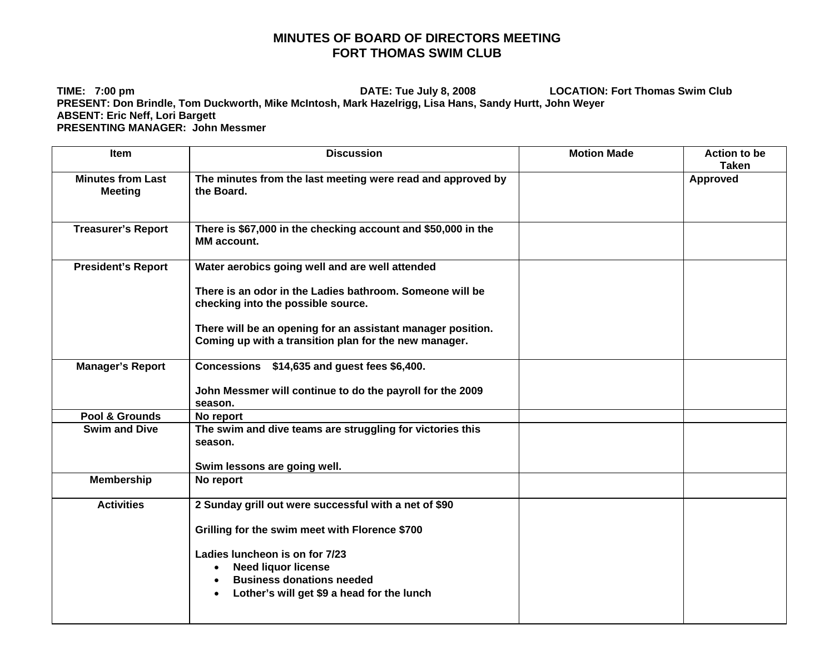## **MINUTES OF BOARD OF DIRECTORS MEETING FORT THOMAS SWIM CLUB**

**TIME: 7:00 pm DATE: Tue July 8, 2008 LOCATION: Fort Thomas Swim Club PRESENT: Don Brindle, Tom Duckworth, Mike McIntosh, Mark Hazelrigg, Lisa Hans, Sandy Hurtt, John Weyer ABSENT: Eric Neff, Lori Bargett PRESENTING MANAGER: John Messmer** 

| Item                                       | <b>Discussion</b>                                                                                                    | <b>Motion Made</b> | <b>Action to be</b><br><b>Taken</b> |
|--------------------------------------------|----------------------------------------------------------------------------------------------------------------------|--------------------|-------------------------------------|
| <b>Minutes from Last</b><br><b>Meeting</b> | The minutes from the last meeting were read and approved by<br>the Board.                                            |                    | <b>Approved</b>                     |
| <b>Treasurer's Report</b>                  | There is \$67,000 in the checking account and \$50,000 in the<br><b>MM</b> account.                                  |                    |                                     |
| <b>President's Report</b>                  | Water aerobics going well and are well attended                                                                      |                    |                                     |
|                                            | There is an odor in the Ladies bathroom. Someone will be<br>checking into the possible source.                       |                    |                                     |
|                                            | There will be an opening for an assistant manager position.<br>Coming up with a transition plan for the new manager. |                    |                                     |
| <b>Manager's Report</b>                    | Concessions \$14,635 and guest fees \$6,400.                                                                         |                    |                                     |
|                                            | John Messmer will continue to do the payroll for the 2009<br>season.                                                 |                    |                                     |
| Pool & Grounds                             | No report                                                                                                            |                    |                                     |
| <b>Swim and Dive</b>                       | The swim and dive teams are struggling for victories this<br>season.                                                 |                    |                                     |
|                                            | Swim lessons are going well.                                                                                         |                    |                                     |
| <b>Membership</b>                          | No report                                                                                                            |                    |                                     |
| <b>Activities</b>                          | 2 Sunday grill out were successful with a net of \$90                                                                |                    |                                     |
|                                            | Grilling for the swim meet with Florence \$700                                                                       |                    |                                     |
|                                            | Ladies luncheon is on for 7/23                                                                                       |                    |                                     |
|                                            | <b>Need liquor license</b><br>$\bullet$                                                                              |                    |                                     |
|                                            | <b>Business donations needed</b>                                                                                     |                    |                                     |
|                                            | Lother's will get \$9 a head for the lunch                                                                           |                    |                                     |